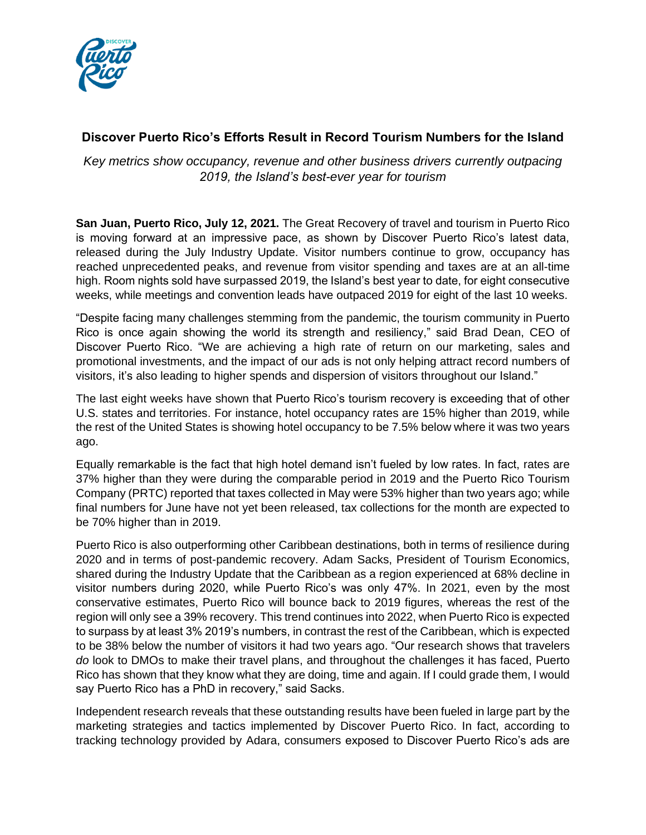

## **Discover Puerto Rico's Efforts Result in Record Tourism Numbers for the Island**

*Key metrics show occupancy, revenue and other business drivers currently outpacing 2019, the Island's best-ever year for tourism*

**San Juan, Puerto Rico, July 12, 2021.** The Great Recovery of travel and tourism in Puerto Rico is moving forward at an impressive pace, as shown by Discover Puerto Rico's latest data, released during the July Industry Update. Visitor numbers continue to grow, occupancy has reached unprecedented peaks, and revenue from visitor spending and taxes are at an all-time high. Room nights sold have surpassed 2019, the Island's best year to date, for eight consecutive weeks, while meetings and convention leads have outpaced 2019 for eight of the last 10 weeks.

"Despite facing many challenges stemming from the pandemic, the tourism community in Puerto Rico is once again showing the world its strength and resiliency," said Brad Dean, CEO of Discover Puerto Rico. "We are achieving a high rate of return on our marketing, sales and promotional investments, and the impact of our ads is not only helping attract record numbers of visitors, it's also leading to higher spends and dispersion of visitors throughout our Island."

The last eight weeks have shown that Puerto Rico's tourism recovery is exceeding that of other U.S. states and territories. For instance, hotel occupancy rates are 15% higher than 2019, while the rest of the United States is showing hotel occupancy to be 7.5% below where it was two years ago.

Equally remarkable is the fact that high hotel demand isn't fueled by low rates. In fact, rates are 37% higher than they were during the comparable period in 2019 and the Puerto Rico Tourism Company (PRTC) reported that taxes collected in May were 53% higher than two years ago; while final numbers for June have not yet been released, tax collections for the month are expected to be 70% higher than in 2019.

Puerto Rico is also outperforming other Caribbean destinations, both in terms of resilience during 2020 and in terms of post-pandemic recovery. Adam Sacks, President of Tourism Economics, shared during the Industry Update that the Caribbean as a region experienced at 68% decline in visitor numbers during 2020, while Puerto Rico's was only 47%. In 2021, even by the most conservative estimates, Puerto Rico will bounce back to 2019 figures, whereas the rest of the region will only see a 39% recovery. This trend continues into 2022, when Puerto Rico is expected to surpass by at least 3% 2019's numbers, in contrast the rest of the Caribbean, which is expected to be 38% below the number of visitors it had two years ago. "Our research shows that travelers *do* look to DMOs to make their travel plans, and throughout the challenges it has faced, Puerto Rico has shown that they know what they are doing, time and again. If I could grade them, I would say Puerto Rico has a PhD in recovery," said Sacks.

Independent research reveals that these outstanding results have been fueled in large part by the marketing strategies and tactics implemented by Discover Puerto Rico. In fact, according to tracking technology provided by Adara, consumers exposed to Discover Puerto Rico's ads are